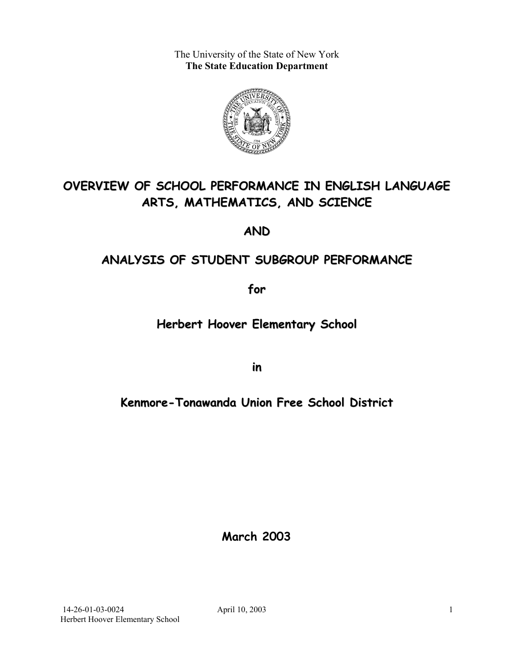The University of the State of New York **The State Education Department** 



# **OVERVIEW OF SCHOOL PERFORMANCE IN ENGLISH LANGUAGE ARTS, MATHEMATICS, AND SCIENCE**

**AND**

## **ANALYSIS OF STUDENT SUBGROUP PERFORMANCE**

**for**

## **Herbert Hoover Elementary School**

**in**

## **Kenmore-Tonawanda Union Free School District**

**March 2003**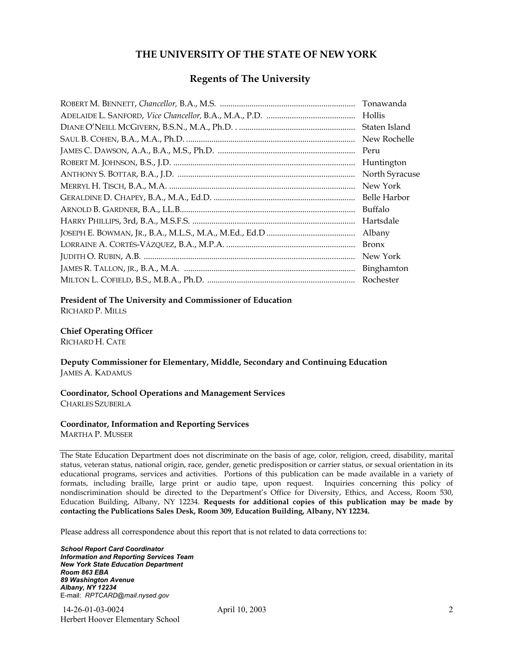#### **THE UNIVERSITY OF THE STATE OF NEW YORK**

#### **Regents of The University**

| Tonawanda      |
|----------------|
| Hollis         |
| Staten Island  |
| New Rochelle   |
| Peru           |
| Huntington     |
| North Syracuse |
| New York       |
| Belle Harbor   |
| Buffalo        |
| Hartsdale      |
| Albany         |
| <b>Bronx</b>   |
| New York       |
|                |
| Rochester      |

#### **President of The University and Commissioner of Education**

RICHARD P. MILLS

#### **Chief Operating Officer**

RICHARD H. CATE

**Deputy Commissioner for Elementary, Middle, Secondary and Continuing Education**  JAMES A. KADAMUS

#### **Coordinator, School Operations and Management Services**  CHARLES SZUBERLA

#### **Coordinator, Information and Reporting Services**

MARTHA P. MUSSER

The State Education Department does not discriminate on the basis of age, color, religion, creed, disability, marital status, veteran status, national origin, race, gender, genetic predisposition or carrier status, or sexual orientation in its educational programs, services and activities. Portions of this publication can be made available in a variety of formats, including braille, large print or audio tape, upon request. Inquiries concerning this policy of nondiscrimination should be directed to the Department's Office for Diversity, Ethics, and Access, Room 530, Education Building, Albany, NY 12234. **Requests for additional copies of this publication may be made by contacting the Publications Sales Desk, Room 309, Education Building, Albany, NY 12234.** 

Please address all correspondence about this report that is not related to data corrections to:

*School Report Card Coordinator Information and Reporting Services Team New York State Education Department Room 863 EBA 89 Washington Avenue Albany, NY 12234*  E-mail: *RPTCARD@mail.nysed.gov*

 14-26-01-03-0024 April 10, 2003 Herbert Hoover Elementary School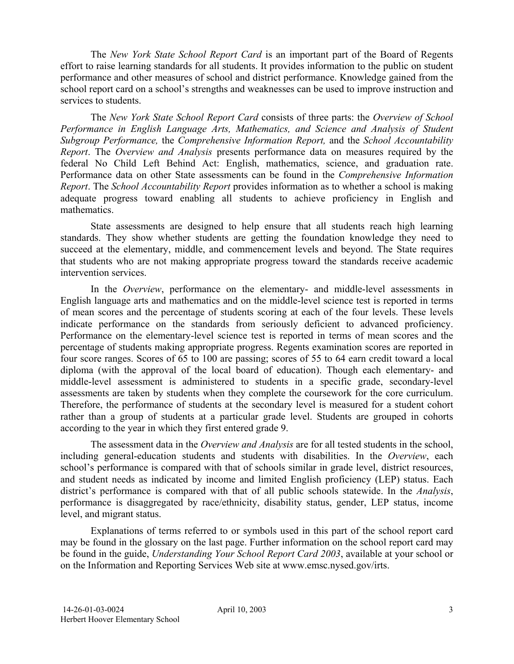The *New York State School Report Card* is an important part of the Board of Regents effort to raise learning standards for all students. It provides information to the public on student performance and other measures of school and district performance. Knowledge gained from the school report card on a school's strengths and weaknesses can be used to improve instruction and services to students.

The *New York State School Report Card* consists of three parts: the *Overview of School Performance in English Language Arts, Mathematics, and Science and Analysis of Student Subgroup Performance,* the *Comprehensive Information Report,* and the *School Accountability Report*. The *Overview and Analysis* presents performance data on measures required by the federal No Child Left Behind Act: English, mathematics, science, and graduation rate. Performance data on other State assessments can be found in the *Comprehensive Information Report*. The *School Accountability Report* provides information as to whether a school is making adequate progress toward enabling all students to achieve proficiency in English and mathematics.

State assessments are designed to help ensure that all students reach high learning standards. They show whether students are getting the foundation knowledge they need to succeed at the elementary, middle, and commencement levels and beyond. The State requires that students who are not making appropriate progress toward the standards receive academic intervention services.

In the *Overview*, performance on the elementary- and middle-level assessments in English language arts and mathematics and on the middle-level science test is reported in terms of mean scores and the percentage of students scoring at each of the four levels. These levels indicate performance on the standards from seriously deficient to advanced proficiency. Performance on the elementary-level science test is reported in terms of mean scores and the percentage of students making appropriate progress. Regents examination scores are reported in four score ranges. Scores of 65 to 100 are passing; scores of 55 to 64 earn credit toward a local diploma (with the approval of the local board of education). Though each elementary- and middle-level assessment is administered to students in a specific grade, secondary-level assessments are taken by students when they complete the coursework for the core curriculum. Therefore, the performance of students at the secondary level is measured for a student cohort rather than a group of students at a particular grade level. Students are grouped in cohorts according to the year in which they first entered grade 9.

The assessment data in the *Overview and Analysis* are for all tested students in the school, including general-education students and students with disabilities. In the *Overview*, each school's performance is compared with that of schools similar in grade level, district resources, and student needs as indicated by income and limited English proficiency (LEP) status. Each district's performance is compared with that of all public schools statewide. In the *Analysis*, performance is disaggregated by race/ethnicity, disability status, gender, LEP status, income level, and migrant status.

Explanations of terms referred to or symbols used in this part of the school report card may be found in the glossary on the last page. Further information on the school report card may be found in the guide, *Understanding Your School Report Card 2003*, available at your school or on the Information and Reporting Services Web site at www.emsc.nysed.gov/irts.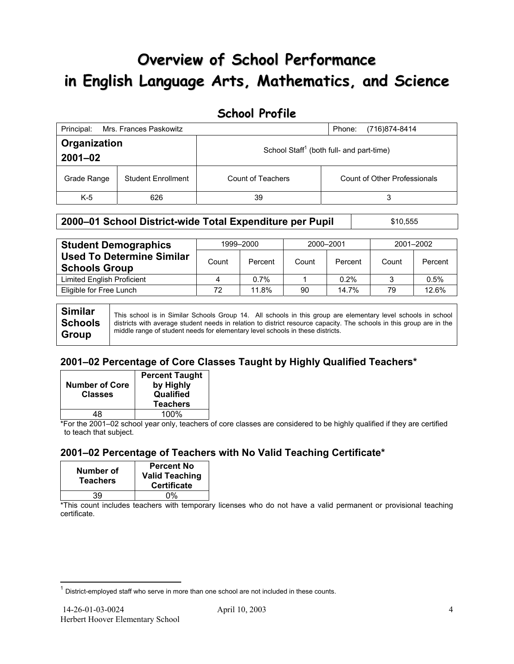# **Overview of School Performance in English Language Arts, Mathematics, and Science**

### **School Profile**

| Principal:                  | Mrs. Frances Paskowitz    | (716)874-8414<br>Phone:                              |                              |  |
|-----------------------------|---------------------------|------------------------------------------------------|------------------------------|--|
| Organization<br>$2001 - 02$ |                           | School Staff <sup>1</sup> (both full- and part-time) |                              |  |
| Grade Range                 | <b>Student Enrollment</b> | Count of Teachers                                    | Count of Other Professionals |  |
| $K-5$                       | 626                       | 39                                                   | 3                            |  |

#### **2000–01 School District-wide Total Expenditure per Pupil | \$10,555**

| <b>Student Demographics</b>                              | 1999-2000 |         | 2000-2001 |         | 2001-2002 |         |
|----------------------------------------------------------|-----------|---------|-----------|---------|-----------|---------|
| <b>Used To Determine Similar</b><br><b>Schools Group</b> | Count     | Percent | Count     | Percent | Count     | Percent |
| Limited English Proficient                               | 4         | 0.7%    |           | 0.2%    |           | 0.5%    |
| Eligible for Free Lunch                                  | 72        | 11.8%   | 90        | 14.7%   | 79        | 12.6%   |

**Similar Schools Group**  This school is in Similar Schools Group 14. All schools in this group are elementary level schools in school districts with average student needs in relation to district resource capacity. The schools in this group are in the middle range of student needs for elementary level schools in these districts.

### **2001–02 Percentage of Core Classes Taught by Highly Qualified Teachers\***

| <b>Number of Core</b><br><b>Classes</b> | <b>Percent Taught</b><br>by Highly<br>Qualified<br><b>Teachers</b> |
|-----------------------------------------|--------------------------------------------------------------------|
| 48                                      | 100%                                                               |

\*For the 2001–02 school year only, teachers of core classes are considered to be highly qualified if they are certified to teach that subject.

### **2001–02 Percentage of Teachers with No Valid Teaching Certificate\***

| Number of<br><b>Teachers</b> | <b>Percent No</b><br><b>Valid Teaching</b><br><b>Certificate</b> |
|------------------------------|------------------------------------------------------------------|
| 39                           | በ%                                                               |

\*This count includes teachers with temporary licenses who do not have a valid permanent or provisional teaching certificate.

 $\overline{a}$ 

 $1$  District-employed staff who serve in more than one school are not included in these counts.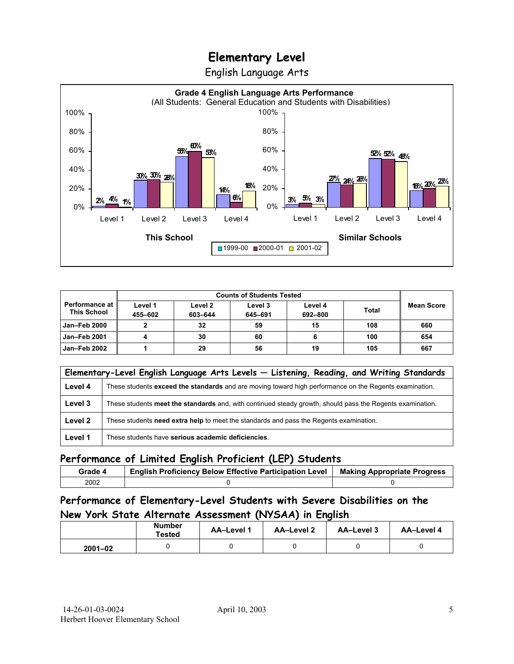English Language Arts



|                                               | <b>Counts of Students Tested</b> |                    |                    |                    |              |                   |
|-----------------------------------------------|----------------------------------|--------------------|--------------------|--------------------|--------------|-------------------|
| <b>Performance at l</b><br><b>This School</b> | Level 1<br>455-602               | Level 2<br>603-644 | Level 3<br>645-691 | Level 4<br>692-800 | <b>Total</b> | <b>Mean Score</b> |
| <b>Jan-Feb 2000</b>                           |                                  | 32                 | 59                 | 15                 | 108          | 660               |
| <b>Jan-Feb 2001</b>                           |                                  | 30                 | 60                 |                    | 100          | 654               |
| Jan-Feb 2002                                  |                                  | 29                 | 56                 | 19                 | 105          | 667               |

|         | Elementary-Level English Language Arts Levels - Listening, Reading, and Writing Standards                 |  |  |  |  |  |
|---------|-----------------------------------------------------------------------------------------------------------|--|--|--|--|--|
| Level 4 | These students exceed the standards and are moving toward high performance on the Regents examination.    |  |  |  |  |  |
| Level 3 | These students meet the standards and, with continued steady growth, should pass the Regents examination. |  |  |  |  |  |
| Level 2 | These students need extra help to meet the standards and pass the Regents examination.                    |  |  |  |  |  |
| Level 1 | These students have serious academic deficiencies.                                                        |  |  |  |  |  |

#### **Performance of Limited English Proficient (LEP) Students**

| Grade 4 | <b>English Proficiency Below Effective Participation Level</b> | <b>Making Appropriate Progress</b> |
|---------|----------------------------------------------------------------|------------------------------------|
| 2002    |                                                                |                                    |

### **Performance of Elementary-Level Students with Severe Disabilities on the New York State Alternate Assessment (NYSAA) in English**

|             | <b>Number</b><br>Tested | AA-Level 1 | <b>AA-Level 2</b> | AA-Level 3 | AA-Level 4 |
|-------------|-------------------------|------------|-------------------|------------|------------|
| $2001 - 02$ |                         |            |                   |            |            |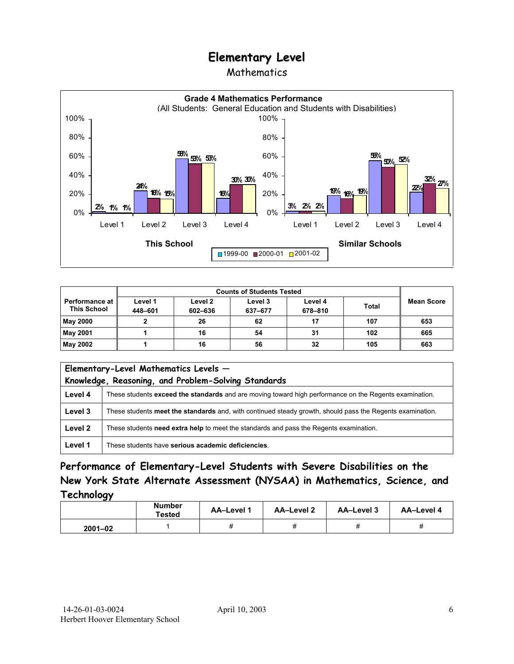### Mathematics



| <b>Counts of Students Tested</b>              |                    |                    |                    |                    |              |                   |
|-----------------------------------------------|--------------------|--------------------|--------------------|--------------------|--------------|-------------------|
| <b>Performance at I</b><br><b>This School</b> | Level 1<br>448-601 | Level 2<br>602-636 | Level 3<br>637-677 | Level 4<br>678-810 | <b>Total</b> | <b>Mean Score</b> |
| <b>May 2000</b>                               |                    | 26                 | 62                 | 17                 | 107          | 653               |
| <b>May 2001</b>                               |                    | 16                 | 54                 | 31                 | 102          | 665               |
| May 2002                                      |                    | 16                 | 56                 | 32                 | 105          | 663               |

| Elementary-Level Mathematics Levels -<br>Knowledge, Reasoning, and Problem-Solving Standards |                                                                                                           |  |  |  |  |
|----------------------------------------------------------------------------------------------|-----------------------------------------------------------------------------------------------------------|--|--|--|--|
| Level 4                                                                                      | These students exceed the standards and are moving toward high performance on the Regents examination.    |  |  |  |  |
| Level 3                                                                                      | These students meet the standards and, with continued steady growth, should pass the Regents examination. |  |  |  |  |
| Level 2                                                                                      | These students need extra help to meet the standards and pass the Regents examination.                    |  |  |  |  |
| Level 1                                                                                      | These students have serious academic deficiencies.                                                        |  |  |  |  |

**Performance of Elementary-Level Students with Severe Disabilities on the New York State Alternate Assessment (NYSAA) in Mathematics, Science, and Technology** 

|             | <b>Number</b><br><b>Tested</b> | AA-Level 1 | <b>AA-Level 2</b> | AA-Level 3 | AA-Level 4 |
|-------------|--------------------------------|------------|-------------------|------------|------------|
| $2001 - 02$ |                                |            |                   |            |            |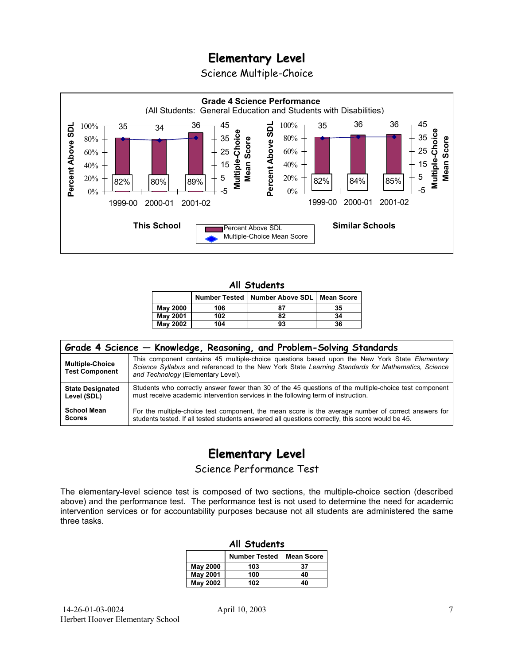Science Multiple-Choice



#### **All Students**

|                 |     | Number Tested   Number Above SDL   Mean Score |    |
|-----------------|-----|-----------------------------------------------|----|
| <b>May 2000</b> | 106 | 87                                            | 35 |
| <b>May 2001</b> | 102 | 82                                            | 34 |
| <b>May 2002</b> | 104 | 93                                            | 36 |

| Grade 4 Science - Knowledge, Reasoning, and Problem-Solving Standards |                                                                                                                                                                                                                                          |  |  |  |  |  |
|-----------------------------------------------------------------------|------------------------------------------------------------------------------------------------------------------------------------------------------------------------------------------------------------------------------------------|--|--|--|--|--|
| <b>Multiple-Choice</b><br><b>Test Component</b>                       | This component contains 45 multiple-choice questions based upon the New York State Elementary<br>Science Syllabus and referenced to the New York State Learning Standards for Mathematics, Science<br>and Technology (Elementary Level). |  |  |  |  |  |
| <b>State Designated</b>                                               | Students who correctly answer fewer than 30 of the 45 questions of the multiple-choice test component                                                                                                                                    |  |  |  |  |  |
| Level (SDL)                                                           | must receive academic intervention services in the following term of instruction.                                                                                                                                                        |  |  |  |  |  |
| <b>School Mean</b>                                                    | For the multiple-choice test component, the mean score is the average number of correct answers for                                                                                                                                      |  |  |  |  |  |
| <b>Scores</b>                                                         | students tested. If all tested students answered all questions correctly, this score would be 45.                                                                                                                                        |  |  |  |  |  |

## **Elementary Level**

Science Performance Test

The elementary-level science test is composed of two sections, the multiple-choice section (described above) and the performance test. The performance test is not used to determine the need for academic intervention services or for accountability purposes because not all students are administered the same three tasks.

| All Students    |                                           |    |  |  |  |  |  |
|-----------------|-------------------------------------------|----|--|--|--|--|--|
|                 | <b>Number Tested</b><br><b>Mean Score</b> |    |  |  |  |  |  |
| May 2000        | 103                                       | 37 |  |  |  |  |  |
| <b>May 2001</b> | 100                                       | 40 |  |  |  |  |  |
| May 2002        | 102                                       | 40 |  |  |  |  |  |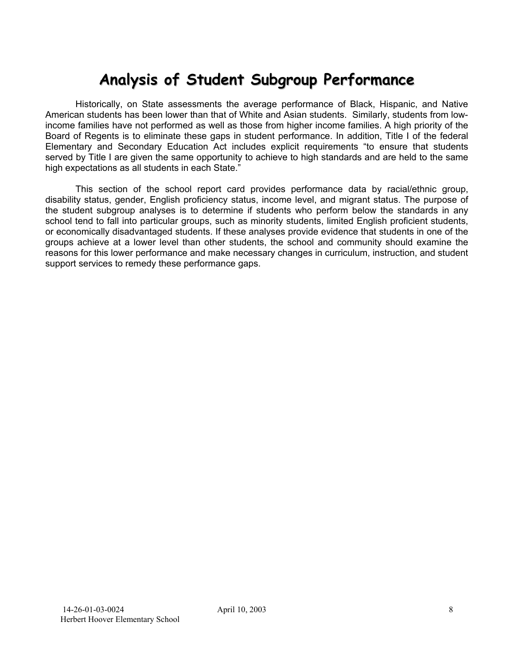# **Analysis of Student Subgroup Performance**

Historically, on State assessments the average performance of Black, Hispanic, and Native American students has been lower than that of White and Asian students. Similarly, students from lowincome families have not performed as well as those from higher income families. A high priority of the Board of Regents is to eliminate these gaps in student performance. In addition, Title I of the federal Elementary and Secondary Education Act includes explicit requirements "to ensure that students served by Title I are given the same opportunity to achieve to high standards and are held to the same high expectations as all students in each State."

This section of the school report card provides performance data by racial/ethnic group, disability status, gender, English proficiency status, income level, and migrant status. The purpose of the student subgroup analyses is to determine if students who perform below the standards in any school tend to fall into particular groups, such as minority students, limited English proficient students, or economically disadvantaged students. If these analyses provide evidence that students in one of the groups achieve at a lower level than other students, the school and community should examine the reasons for this lower performance and make necessary changes in curriculum, instruction, and student support services to remedy these performance gaps.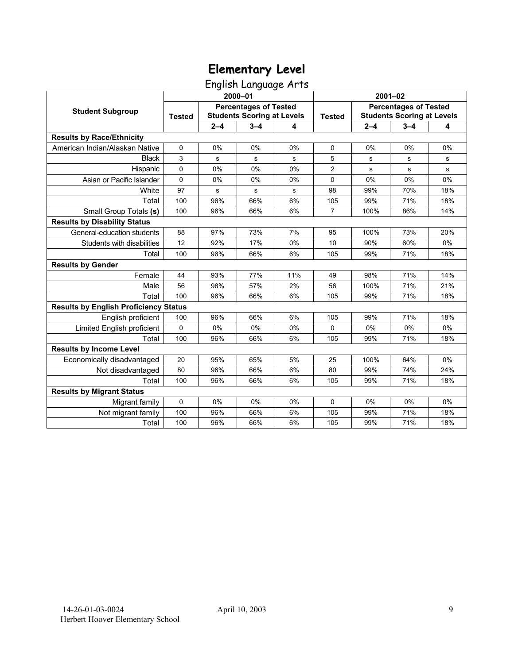English Language Arts

|                                              | 2000-01       |                                                                   |             |     | $2001 - 02$    |                                                                   |         |     |
|----------------------------------------------|---------------|-------------------------------------------------------------------|-------------|-----|----------------|-------------------------------------------------------------------|---------|-----|
| <b>Student Subgroup</b>                      | <b>Tested</b> | <b>Percentages of Tested</b><br><b>Students Scoring at Levels</b> |             |     | <b>Tested</b>  | <b>Percentages of Tested</b><br><b>Students Scoring at Levels</b> |         |     |
|                                              |               | $2 - 4$                                                           | $3 - 4$     | 4   |                | $2 - 4$                                                           | $3 - 4$ | 4   |
| <b>Results by Race/Ethnicity</b>             |               |                                                                   |             |     |                |                                                                   |         |     |
| American Indian/Alaskan Native               | $\mathbf 0$   | 0%                                                                | 0%          | 0%  | $\mathbf 0$    | 0%                                                                | 0%      | 0%  |
| <b>Black</b>                                 | 3             | s                                                                 | s           | s   | 5              | s                                                                 | s       | s   |
| Hispanic                                     | 0             | 0%                                                                | 0%          | 0%  | 2              | $\mathbf s$                                                       | s       | s   |
| Asian or Pacific Islander                    | $\mathbf 0$   | 0%                                                                | 0%          | 0%  | $\mathbf 0$    | 0%                                                                | 0%      | 0%  |
| White                                        | 97            | s                                                                 | $\mathbf s$ | s   | 98             | 99%                                                               | 70%     | 18% |
| Total                                        | 100           | 96%                                                               | 66%         | 6%  | 105            | 99%                                                               | 71%     | 18% |
| Small Group Totals (s)                       | 100           | 96%                                                               | 66%         | 6%  | $\overline{7}$ | 100%                                                              | 86%     | 14% |
| <b>Results by Disability Status</b>          |               |                                                                   |             |     |                |                                                                   |         |     |
| General-education students                   | 88            | 97%                                                               | 73%         | 7%  | 95             | 100%                                                              | 73%     | 20% |
| Students with disabilities                   | 12            | 92%                                                               | 17%         | 0%  | 10             | 90%                                                               | 60%     | 0%  |
| Total                                        | 100           | 96%                                                               | 66%         | 6%  | 105            | 99%                                                               | 71%     | 18% |
| <b>Results by Gender</b>                     |               |                                                                   |             |     |                |                                                                   |         |     |
| Female                                       | 44            | 93%                                                               | 77%         | 11% | 49             | 98%                                                               | 71%     | 14% |
| Male                                         | 56            | 98%                                                               | 57%         | 2%  | 56             | 100%                                                              | 71%     | 21% |
| Total                                        | 100           | 96%                                                               | 66%         | 6%  | 105            | 99%                                                               | 71%     | 18% |
| <b>Results by English Proficiency Status</b> |               |                                                                   |             |     |                |                                                                   |         |     |
| English proficient                           | 100           | 96%                                                               | 66%         | 6%  | 105            | 99%                                                               | 71%     | 18% |
| Limited English proficient                   | 0             | 0%                                                                | 0%          | 0%  | $\Omega$       | 0%                                                                | 0%      | 0%  |
| Total                                        | 100           | 96%                                                               | 66%         | 6%  | 105            | 99%                                                               | 71%     | 18% |
| <b>Results by Income Level</b>               |               |                                                                   |             |     |                |                                                                   |         |     |
| Economically disadvantaged                   | 20            | 95%                                                               | 65%         | 5%  | 25             | 100%                                                              | 64%     | 0%  |
| Not disadvantaged                            | 80            | 96%                                                               | 66%         | 6%  | 80             | 99%                                                               | 74%     | 24% |
| Total                                        | 100           | 96%                                                               | 66%         | 6%  | 105            | 99%                                                               | 71%     | 18% |
| <b>Results by Migrant Status</b>             |               |                                                                   |             |     |                |                                                                   |         |     |
| Migrant family                               | 0             | $0\%$                                                             | 0%          | 0%  | $\Omega$       | 0%                                                                | 0%      | 0%  |
| Not migrant family                           | 100           | 96%                                                               | 66%         | 6%  | 105            | 99%                                                               | 71%     | 18% |
| Total                                        | 100           | 96%                                                               | 66%         | 6%  | 105            | 99%                                                               | 71%     | 18% |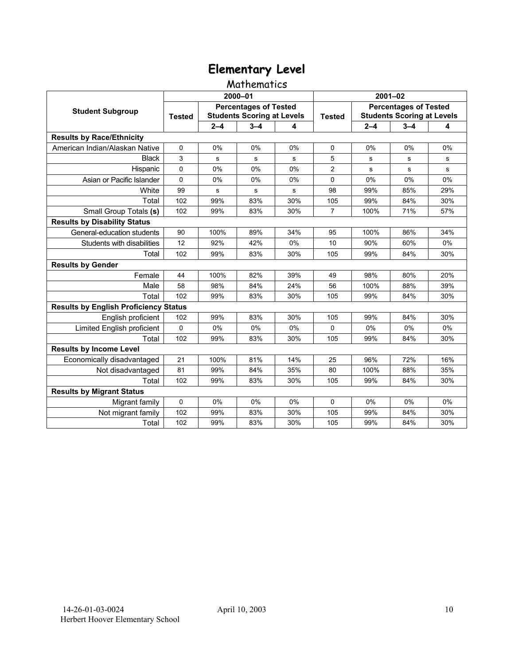### Mathematics

|                                              | 2000-01                                                                            |         |         |               | $2001 - 02$                                                       |         |         |     |
|----------------------------------------------|------------------------------------------------------------------------------------|---------|---------|---------------|-------------------------------------------------------------------|---------|---------|-----|
| <b>Student Subgroup</b>                      | <b>Percentages of Tested</b><br><b>Students Scoring at Levels</b><br><b>Tested</b> |         |         | <b>Tested</b> | <b>Percentages of Tested</b><br><b>Students Scoring at Levels</b> |         |         |     |
|                                              |                                                                                    | $2 - 4$ | $3 - 4$ | 4             |                                                                   | $2 - 4$ | $3 - 4$ | 4   |
| <b>Results by Race/Ethnicity</b>             |                                                                                    |         |         |               |                                                                   |         |         |     |
| American Indian/Alaskan Native               | $\mathbf 0$                                                                        | 0%      | 0%      | 0%            | $\Omega$                                                          | 0%      | 0%      | 0%  |
| <b>Black</b>                                 | 3                                                                                  | s       | s       | s             | 5                                                                 | s       | s       | s   |
| Hispanic                                     | 0                                                                                  | 0%      | 0%      | 0%            | 2                                                                 | s       | s       | s   |
| Asian or Pacific Islander                    | $\mathbf 0$                                                                        | 0%      | 0%      | 0%            | 0                                                                 | 0%      | 0%      | 0%  |
| White                                        | 99                                                                                 | s       | s       | s             | 98                                                                | 99%     | 85%     | 29% |
| Total                                        | 102                                                                                | 99%     | 83%     | 30%           | 105                                                               | 99%     | 84%     | 30% |
| Small Group Totals (s)                       | 102                                                                                | 99%     | 83%     | 30%           | $\overline{7}$                                                    | 100%    | 71%     | 57% |
| <b>Results by Disability Status</b>          |                                                                                    |         |         |               |                                                                   |         |         |     |
| General-education students                   | 90                                                                                 | 100%    | 89%     | 34%           | 95                                                                | 100%    | 86%     | 34% |
| Students with disabilities                   | 12                                                                                 | 92%     | 42%     | 0%            | 10                                                                | 90%     | 60%     | 0%  |
| Total                                        | 102                                                                                | 99%     | 83%     | 30%           | 105                                                               | 99%     | 84%     | 30% |
| <b>Results by Gender</b>                     |                                                                                    |         |         |               |                                                                   |         |         |     |
| Female                                       | 44                                                                                 | 100%    | 82%     | 39%           | 49                                                                | 98%     | 80%     | 20% |
| Male                                         | 58                                                                                 | 98%     | 84%     | 24%           | 56                                                                | 100%    | 88%     | 39% |
| Total                                        | 102                                                                                | 99%     | 83%     | 30%           | 105                                                               | 99%     | 84%     | 30% |
| <b>Results by English Proficiency Status</b> |                                                                                    |         |         |               |                                                                   |         |         |     |
| English proficient                           | 102                                                                                | 99%     | 83%     | 30%           | 105                                                               | 99%     | 84%     | 30% |
| Limited English proficient                   | 0                                                                                  | 0%      | 0%      | 0%            | $\Omega$                                                          | 0%      | 0%      | 0%  |
| Total                                        | 102                                                                                | 99%     | 83%     | 30%           | 105                                                               | 99%     | 84%     | 30% |
| <b>Results by Income Level</b>               |                                                                                    |         |         |               |                                                                   |         |         |     |
| Economically disadvantaged                   | 21                                                                                 | 100%    | 81%     | 14%           | 25                                                                | 96%     | 72%     | 16% |
| Not disadvantaged                            | 81                                                                                 | 99%     | 84%     | 35%           | 80                                                                | 100%    | 88%     | 35% |
| Total                                        | 102                                                                                | 99%     | 83%     | 30%           | 105                                                               | 99%     | 84%     | 30% |
| <b>Results by Migrant Status</b>             |                                                                                    |         |         |               |                                                                   |         |         |     |
| Migrant family                               | 0                                                                                  | $0\%$   | 0%      | 0%            | $\Omega$                                                          | 0%      | 0%      | 0%  |
| Not migrant family                           | 102                                                                                | 99%     | 83%     | 30%           | 105                                                               | 99%     | 84%     | 30% |
| Total                                        | 102                                                                                | 99%     | 83%     | 30%           | 105                                                               | 99%     | 84%     | 30% |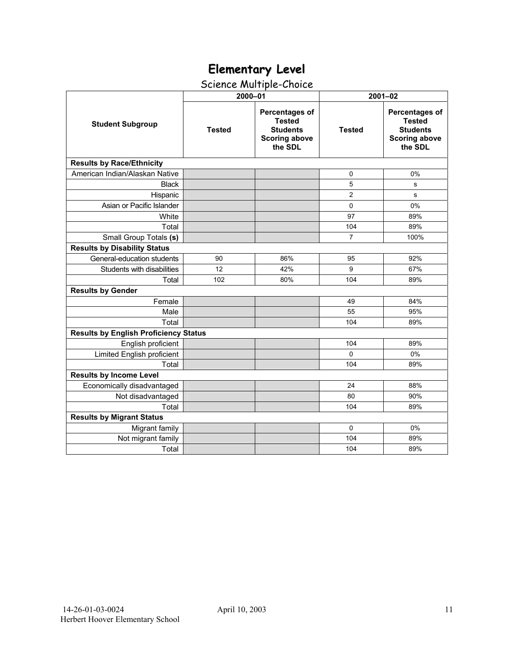## Science Multiple-Choice

|                                              | 2000-01       |                                                                                       | $2001 - 02$    |                                                                                              |  |  |  |
|----------------------------------------------|---------------|---------------------------------------------------------------------------------------|----------------|----------------------------------------------------------------------------------------------|--|--|--|
| <b>Student Subgroup</b>                      | <b>Tested</b> | Percentages of<br><b>Tested</b><br><b>Students</b><br><b>Scoring above</b><br>the SDL | <b>Tested</b>  | <b>Percentages of</b><br><b>Tested</b><br><b>Students</b><br><b>Scoring above</b><br>the SDL |  |  |  |
| <b>Results by Race/Ethnicity</b>             |               |                                                                                       |                |                                                                                              |  |  |  |
| American Indian/Alaskan Native               |               |                                                                                       | 0              | 0%                                                                                           |  |  |  |
| <b>Black</b>                                 |               |                                                                                       | 5              | s                                                                                            |  |  |  |
| Hispanic                                     |               |                                                                                       | $\overline{2}$ | s                                                                                            |  |  |  |
| Asian or Pacific Islander                    |               |                                                                                       | $\Omega$       | 0%                                                                                           |  |  |  |
| White                                        |               |                                                                                       | 97             | 89%                                                                                          |  |  |  |
| Total                                        |               |                                                                                       | 104            | 89%                                                                                          |  |  |  |
| Small Group Totals (s)                       |               |                                                                                       | $\overline{7}$ | 100%                                                                                         |  |  |  |
| <b>Results by Disability Status</b>          |               |                                                                                       |                |                                                                                              |  |  |  |
| General-education students                   | 90            | 86%                                                                                   | 95             | 92%                                                                                          |  |  |  |
| Students with disabilities                   | 12            | 42%                                                                                   | 9              | 67%                                                                                          |  |  |  |
| Total                                        | 102           | 80%                                                                                   | 104            | 89%                                                                                          |  |  |  |
| <b>Results by Gender</b>                     |               |                                                                                       |                |                                                                                              |  |  |  |
| Female                                       |               |                                                                                       | 49             | 84%                                                                                          |  |  |  |
| Male                                         |               |                                                                                       | 55             | 95%                                                                                          |  |  |  |
| Total                                        |               |                                                                                       | 104            | 89%                                                                                          |  |  |  |
| <b>Results by English Proficiency Status</b> |               |                                                                                       |                |                                                                                              |  |  |  |
| English proficient                           |               |                                                                                       | 104            | 89%                                                                                          |  |  |  |
| Limited English proficient                   |               |                                                                                       | $\Omega$       | 0%                                                                                           |  |  |  |
| Total                                        |               |                                                                                       | 104            | 89%                                                                                          |  |  |  |
| <b>Results by Income Level</b>               |               |                                                                                       |                |                                                                                              |  |  |  |
| Economically disadvantaged                   |               |                                                                                       | 24             | 88%                                                                                          |  |  |  |
| Not disadvantaged                            |               |                                                                                       | 80             | 90%                                                                                          |  |  |  |
| Total                                        |               |                                                                                       | 104            | 89%                                                                                          |  |  |  |
| <b>Results by Migrant Status</b>             |               |                                                                                       |                |                                                                                              |  |  |  |
| Migrant family                               |               |                                                                                       | $\Omega$       | 0%                                                                                           |  |  |  |
| Not migrant family                           |               |                                                                                       | 104            | 89%                                                                                          |  |  |  |
| Total                                        |               |                                                                                       | 104            | 89%                                                                                          |  |  |  |